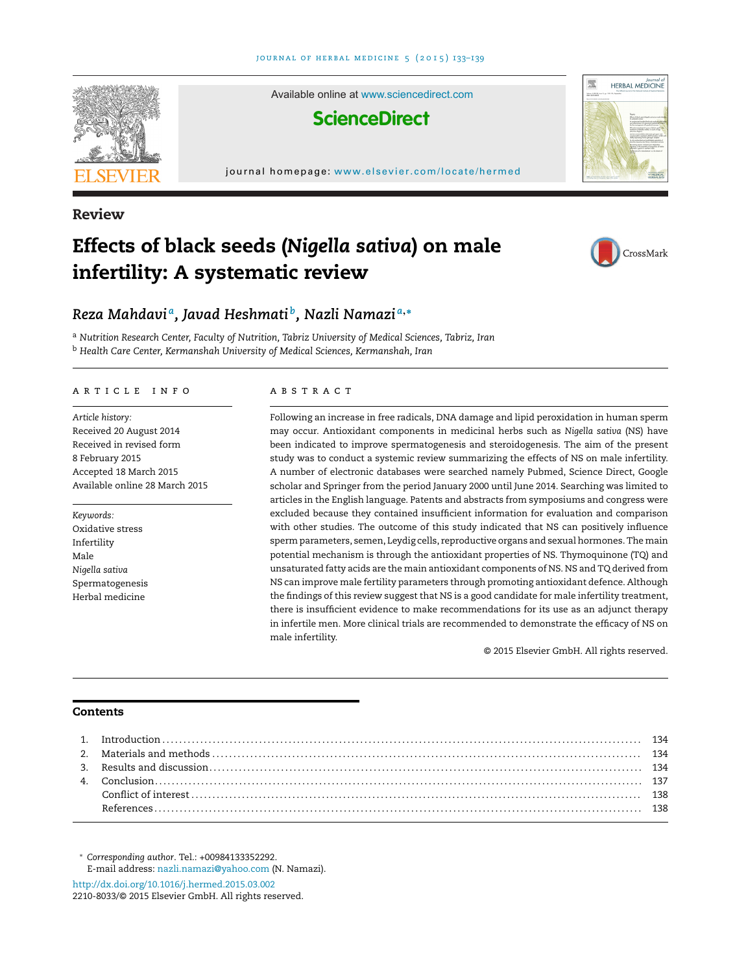

**Review**

## **Effects of black seeds (***Nigella sativa***) on male infertility: A systematic review**



### *Reza Mahdavi a, Javad Heshmati b, Nazli Namazi <sup>a</sup>***,<sup>∗</sup>**

<sup>a</sup> *Nutrition Research Center, Faculty of Nutrition, Tabriz University of Medical Sciences, Tabriz, Iran* <sup>b</sup> *Health Care Center, Kermanshah University of Medical Sciences, Kermanshah, Iran*

#### article info

*Article history:* Received 20 August 2014 Received in revised form 8 February 2015 Accepted 18 March 2015 Available online 28 March 2015

*Keywords:* Oxidative stress Infertility Male *Nigella sativa* Spermatogenesis Herbal medicine

#### A B S T R A C T

Following an increase in free radicals, DNA damage and lipid peroxidation in human sperm may occur. Antioxidant components in medicinal herbs such as *Nigella sativa* (NS) have been indicated to improve spermatogenesis and steroidogenesis. The aim of the present study was to conduct a systemic review summarizing the effects of NS on male infertility. A number of electronic databases were searched namely Pubmed, Science Direct, Google scholar and Springer from the period January 2000 until June 2014. Searching was limited to articles in the English language. Patents and abstracts from symposiums and congress were excluded because they contained insufficient information for evaluation and comparison with other studies. The outcome of this study indicated that NS can positively influence sperm parameters, semen, Leydig cells, reproductive organs and sexual hormones. The main potential mechanism is through the antioxidant properties of NS. Thymoquinone (TQ) and unsaturated fatty acids are the main antioxidant components of NS. NS and TQ derived from NS can improve male fertility parameters through promoting antioxidant defence. Although the findings of this review suggest that NS is a good candidate for male infertility treatment, there is insufficient evidence to make recommendations for its use as an adjunct therapy in infertile men. More clinical trials are recommended to demonstrate the efficacy of NS on male infertility.

© 2015 Elsevier GmbH. All rights reserved.

#### **Contents**

∗ *Corresponding author*. Tel.: +00984133352292. E-mail address: [nazli.namazi@yahoo.com](mailto:nazli.namazi@yahoo.com) (N. Namazi).

[http://dx.doi.org/10.1016/j.hermed.2015.03.002](dx.doi.org/10.1016/j.hermed.2015.03.002) 2210-8033/© 2015 Elsevier GmbH. All rights reserved.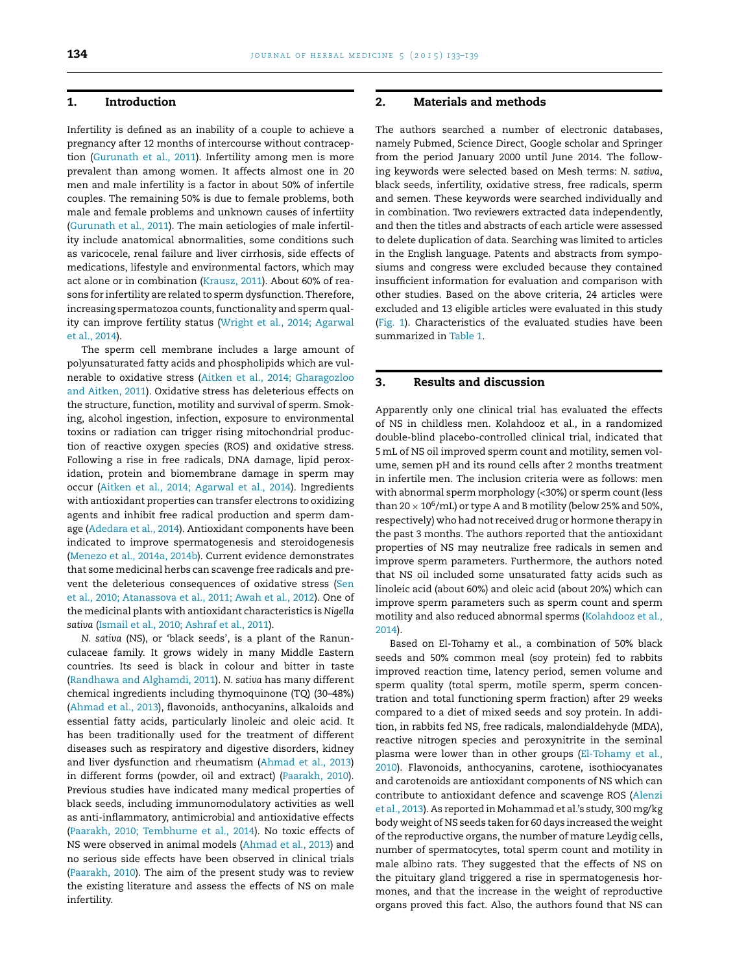#### **1. Introduction**

Infertility is defined as an inability of a couple to achieve a pregnancy after 12 months of intercourse without contraception [\(Gurunath et al., 2011\).](#page--1-0) Infertility among men is more prevalent than among women. It affects almost one in 20 men and male infertility is a factor in about 50% of infertile couples. The remaining 50% is due to female problems, both male and female problems and unknown causes of infertiity ([Gurunath et al., 2011\).](#page--1-0) The main aetiologies of male infertility include anatomical abnormalities, some conditions such as varicocele, renal failure and liver cirrhosis, side effects of medications, lifestyle and environmental factors, which may act alone or in combination ([Krausz, 2011\).](#page--1-0) About 60% of reasons for infertility are related to sperm dysfunction. Therefore, increasing spermatozoa counts, functionality and sperm quality can improve fertility status [\(Wright et al., 2014; Agarwal](#page--1-0) [et al., 2014\).](#page--1-0)

The sperm cell membrane includes a large amount of polyunsaturated fatty acids and phospholipids which are vulnerable to oxidative stress [\(Aitken et al., 2014; Gharagozloo](#page--1-0) [and Aitken, 2011\).](#page--1-0) Oxidative stress has deleterious effects on the structure, function, motility and survival of sperm. Smoking, alcohol ingestion, infection, exposure to environmental toxins or radiation can trigger rising mitochondrial production of reactive oxygen species (ROS) and oxidative stress. Following a rise in free radicals, DNA damage, lipid peroxidation, protein and biomembrane damage in sperm may occur ([Aitken et al., 2014; Agarwal et al., 2014\).](#page--1-0) Ingredients with antioxidant properties can transfer electrons to oxidizing agents and inhibit free radical production and sperm damage [\(Adedara et al., 2014\).](#page--1-0) Antioxidant components have been indicated to improve spermatogenesis and steroidogenesis ([Menezo et al., 2014a, 2014b\).](#page--1-0) Current evidence demonstrates that some medicinal herbs can scavenge free radicals and prevent the deleterious consequences of oxidative stress [\(Sen](#page--1-0) [et al., 2010; Atanassova et al., 2011; Awah et al., 2012\).](#page--1-0) One of the medicinal plants with antioxidant characteristics is *Nigella sativa* ([Ismail et al., 2010; Ashraf et al., 2011\).](#page--1-0)

*N. sativa* (NS), or 'black seeds', is a plant of the Ranunculaceae family. It grows widely in many Middle Eastern countries. Its seed is black in colour and bitter in taste ([Randhawa and Alghamdi, 2011\).](#page--1-0) *N. sativa* has many different chemical ingredients including thymoquinone (TQ) (30–48%) ([Ahmad et al., 2013\),](#page--1-0) flavonoids, anthocyanins, alkaloids and essential fatty acids, particularly linoleic and oleic acid. It has been traditionally used for the treatment of different diseases such as respiratory and digestive disorders, kidney and liver dysfunction and rheumatism [\(Ahmad et al., 2013\)](#page--1-0) in different forms (powder, oil and extract) ([Paarakh, 2010\).](#page--1-0) Previous studies have indicated many medical properties of black seeds, including immunomodulatory activities as well as anti-inflammatory, antimicrobial and antioxidative effects ([Paarakh, 2010; Tembhurne et al., 2014\).](#page--1-0) No toxic effects of NS were observed in animal models ([Ahmad et al., 2013\) a](#page--1-0)nd no serious side effects have been observed in clinical trials ([Paarakh, 2010\).](#page--1-0) The aim of the present study was to review the existing literature and assess the effects of NS on male infertility.

#### **2. Materials and methods**

The authors searched a number of electronic databases, namely Pubmed, Science Direct, Google scholar and Springer from the period January 2000 until June 2014. The following keywords were selected based on Mesh terms: *N. sativa*, black seeds, infertility, oxidative stress, free radicals, sperm and semen. These keywords were searched individually and in combination. Two reviewers extracted data independently, and then the titles and abstracts of each article were assessed to delete duplication of data. Searching was limited to articles in the English language. Patents and abstracts from symposiums and congress were excluded because they contained insufficient information for evaluation and comparison with other studies. Based on the above criteria, 24 articles were excluded and 13 eligible articles were evaluated in this study ([Fig. 1\).](#page--1-0) Characteristics of the evaluated studies have been summarized in [Table 1.](#page--1-0)

#### **3. Results and discussion**

Apparently only one clinical trial has evaluated the effects of NS in childless men. Kolahdooz et al., in a randomized double-blind placebo-controlled clinical trial, indicated that 5mL of NS oil improved sperm count and motility, semen volume, semen pH and its round cells after 2 months treatment in infertile men. The inclusion criteria were as follows: men with abnormal sperm morphology (<30%) or sperm count (less than 20  $\times$  10<sup>6</sup>/mL) or type A and B motility (below 25% and 50%, respectively) who had not received drug or hormone therapy in the past 3 months. The authors reported that the antioxidant properties of NS may neutralize free radicals in semen and improve sperm parameters. Furthermore, the authors noted that NS oil included some unsaturated fatty acids such as linoleic acid (about 60%) and oleic acid (about 20%) which can improve sperm parameters such as sperm count and sperm motility and also reduced abnormal sperms [\(Kolahdooz et al.,](#page--1-0) [2014\).](#page--1-0)

Based on El-Tohamy et al., a combination of 50% black seeds and 50% common meal (soy protein) fed to rabbits improved reaction time, latency period, semen volume and sperm quality (total sperm, motile sperm, sperm concentration and total functioning sperm fraction) after 29 weeks compared to a diet of mixed seeds and soy protein. In addition, in rabbits fed NS, free radicals, malondialdehyde (MDA), reactive nitrogen species and peroxynitrite in the seminal plasma were lower than in other groups [\(El-Tohamy et al.,](#page--1-0) [2010\).](#page--1-0) Flavonoids, anthocyanins, carotene, isothiocyanates and carotenoids are antioxidant components of NS which can contribute to antioxidant defence and scavenge ROS ([Alenzi](#page--1-0) [et al., 2013\).](#page--1-0) As reported in Mohammad et al.'s study, 300mg/kg body weight of NS seeds taken for 60 days increased the weight of the reproductive organs, the number of mature Leydig cells, number of spermatocytes, total sperm count and motility in male albino rats. They suggested that the effects of NS on the pituitary gland triggered a rise in spermatogenesis hormones, and that the increase in the weight of reproductive organs proved this fact. Also, the authors found that NS can